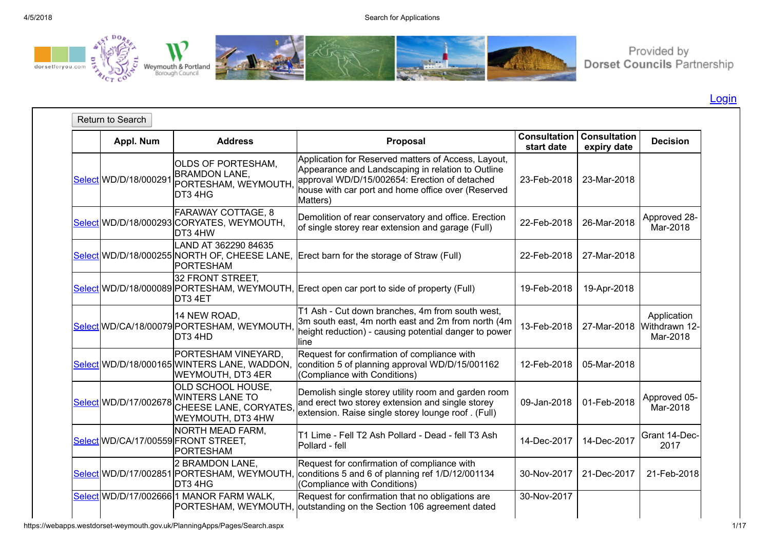

Provided by<br>Dorset Councils Partnership

[Login](javascript:__doPostBack()

| Appl. Num             | <b>Address</b>                                                                                 | Proposal                                                                                                                                                                                                                    | <b>Consultation</b><br>start date | <b>Consultation</b><br>expiry date | <b>Decision</b>                                      |
|-----------------------|------------------------------------------------------------------------------------------------|-----------------------------------------------------------------------------------------------------------------------------------------------------------------------------------------------------------------------------|-----------------------------------|------------------------------------|------------------------------------------------------|
| Select WD/D/18/000291 | <b>OLDS OF PORTESHAM.</b><br><b>BRAMDON LANE,</b><br>PORTESHAM, WEYMOUTH<br>DT3 4HG            | Application for Reserved matters of Access, Layout,<br>Appearance and Landscaping in relation to Outline<br>approval WD/D/15/002654: Erection of detached<br>house with car port and home office over (Reserved<br>Matters) | 23-Feb-2018                       | 23-Mar-2018                        |                                                      |
|                       | <b>FARAWAY COTTAGE, 8</b><br>Select WD/D/18/000293 CORYATES, WEYMOUTH,<br>DT3 4HW              | Demolition of rear conservatory and office. Erection<br>of single storey rear extension and garage (Full)                                                                                                                   | 22-Feb-2018                       | 26-Mar-2018                        | Approved 28-<br>Mar-2018                             |
|                       | LAND AT 362290 84635<br>PORTESHAM                                                              | Select WD/D/18/000255 NORTH OF, CHEESE LANE, Erect barn for the storage of Straw (Full)                                                                                                                                     | 22-Feb-2018                       | 27-Mar-2018                        |                                                      |
|                       | 32 FRONT STREET,<br>DT3 4ET                                                                    | Select WD/D/18/000089 PORTESHAM, WEYMOUTH, Erect open car port to side of property (Full)                                                                                                                                   | 19-Feb-2018                       | 19-Apr-2018                        |                                                      |
|                       | 14 NEW ROAD,<br>Select WD/CA/18/00079 PORTESHAM, WEYMOUTH<br>DT3 4HD                           | T1 Ash - Cut down branches, 4m from south west,<br>3m south east, 4m north east and 2m from north (4m<br>height reduction) - causing potential danger to power<br>line                                                      | 13-Feb-2018                       |                                    | Application<br>27-Mar-2018 Withdrawn 12-<br>Mar-2018 |
|                       | PORTESHAM VINEYARD,<br>Select WD/D/18/000165 WINTERS LANE, WADDON,<br><b>WEYMOUTH, DT3 4ER</b> | Request for confirmation of compliance with<br>condition 5 of planning approval WD/D/15/001162<br>(Compliance with Conditions)                                                                                              | 12-Feb-2018                       | 05-Mar-2018                        |                                                      |
| Select WD/D/17/002678 | OLD SCHOOL HOUSE,<br><b>WINTERS LANE TO</b><br>CHEESE LANE, CORYATES<br>WEYMOUTH, DT3 4HW      | Demolish single storey utility room and garden room<br>and erect two storey extension and single storey<br>extension. Raise single storey lounge roof. (Full)                                                               | 09-Jan-2018                       | 01-Feb-2018                        | Approved 05-<br>Mar-2018                             |
|                       | NORTH MEAD FARM,<br>Select WD/CA/17/00559 FRONT STREET,<br>PORTESHAM                           | T1 Lime - Fell T2 Ash Pollard - Dead - fell T3 Ash<br><b>Pollard</b> - fell                                                                                                                                                 | 14-Dec-2017                       | 14-Dec-2017                        | Grant 14-Dec-<br>2017                                |
|                       | 2 BRAMDON LANE,<br>DT3 4HG                                                                     | Request for confirmation of compliance with<br>Select WD/D/17/002851 PORTESHAM, WEYMOUTH, conditions 5 and 6 of planning ref 1/D/12/001134<br>(Compliance with Conditions)                                                  | 30-Nov-2017                       | 21-Dec-2017                        | 21-Feb-2018                                          |
|                       | Select WD/D/17/002666 1 MANOR FARM WALK,                                                       | Request for confirmation that no obligations are<br>PORTESHAM, WEYMOUTH, outstanding on the Section 106 agreement dated                                                                                                     | 30-Nov-2017                       |                                    |                                                      |